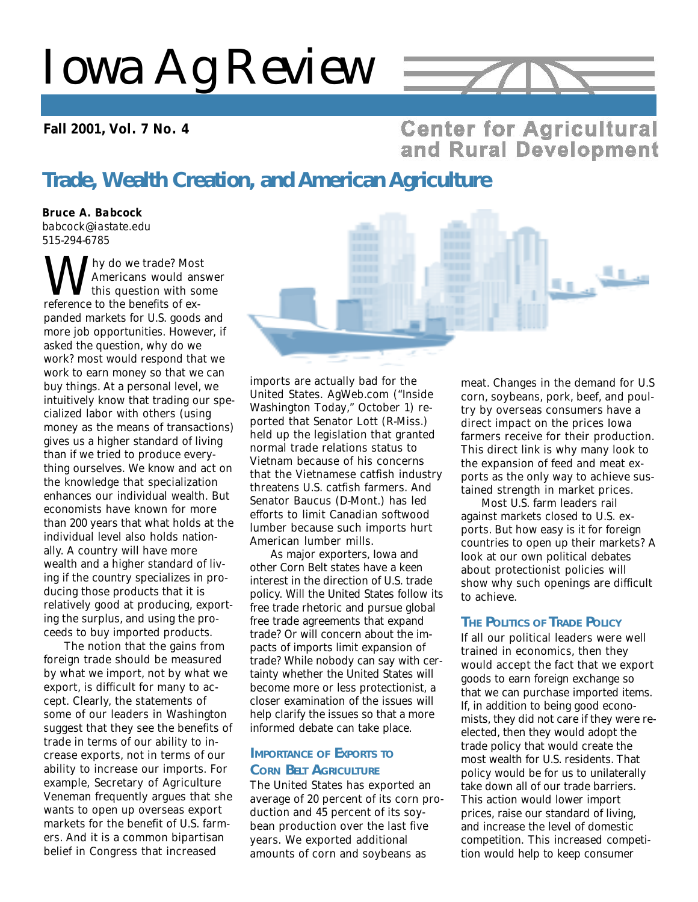# *Iowa Ag Review*

### **Fall 2001, Vol. 7 No. 4**



### **Center for Agricultural** and Rural Development

## **Trade, Wealth Creation, and American Agriculture**

*Bruce A. Babcock babcock@iastate.edu 515-294-6785*

**W** hy do we trade? Mos<br>this question with sc<br>reference to the benefits of exhy do we trade? Most Americans would answer this question with some panded markets for U.S. goods and more job opportunities. However, if asked the question, why do we work? most would respond that we work to earn money so that we can buy things. At a personal level, we intuitively know that trading our specialized labor with others (using money as the means of transactions) gives us a higher standard of living than if we tried to produce everything ourselves. We know and act on the knowledge that specialization enhances our individual wealth. But economists have known for more than 200 years that what holds at the individual level also holds nationally. A country will have more wealth and a higher standard of living if the country specializes in producing those products that it is relatively good at producing, exporting the surplus, and using the proceeds to buy imported products.

The notion that the gains from foreign trade should be measured by what we import, not by what we export, is difficult for many to accept. Clearly, the statements of some of our leaders in Washington suggest that they see the benefits of trade in terms of our ability to increase exports, not in terms of our ability to increase our imports. For example, Secretary of Agriculture Veneman frequently argues that she wants to open up overseas export markets for the benefit of U.S. farmers. And it is a common bipartisan belief in Congress that increased

imports are actually bad for the United States. AgWeb.com ("Inside Washington Today," October 1) reported that Senator Lott (R-Miss.) held up the legislation that granted normal trade relations status to Vietnam because of his concerns that the Vietnamese catfish industry threatens U.S. catfish farmers. And Senator Baucus (D-Mont.) has led efforts to limit Canadian softwood lumber because such imports hurt American lumber mills.

As major exporters, Iowa and other Corn Belt states have a keen interest in the direction of U.S. trade policy. Will the United States follow its free trade rhetoric and pursue global free trade agreements that expand trade? Or will concern about the impacts of imports limit expansion of trade? While nobody can say with certainty whether the United States will become more or less protectionist, a closer examination of the issues will help clarify the issues so that a more informed debate can take place.

### **IMPORTANCE OF EXPORTS TO CORN BELT AGRICULTURE**

The United States has exported an average of 20 percent of its corn production and 45 percent of its soybean production over the last five years. We exported additional amounts of corn and soybeans as

meat. Changes in the demand for U.S corn, soybeans, pork, beef, and poultry by overseas consumers have a direct impact on the prices Iowa farmers receive for their production. This direct link is why many look to the expansion of feed and meat exports as the only way to achieve sustained strength in market prices.

9. O

Most U.S. farm leaders rail against markets closed to U.S. exports. But how easy is it for foreign countries to open up their markets? A look at our own political debates about protectionist policies will show why such openings are difficult to achieve.

### **THE POLITICS OF TRADE POLICY**

If all our political leaders were well trained in economics, then they would accept the fact that we export goods to earn foreign exchange so that we can purchase imported items. If, in addition to being good economists, they did not care if they were reelected, then they would adopt the trade policy that would create the most wealth for U.S. residents. That policy would be for us to unilaterally take down all of our trade barriers. This action would lower import prices, raise our standard of living, and increase the level of domestic competition. This increased competition would help to keep consumer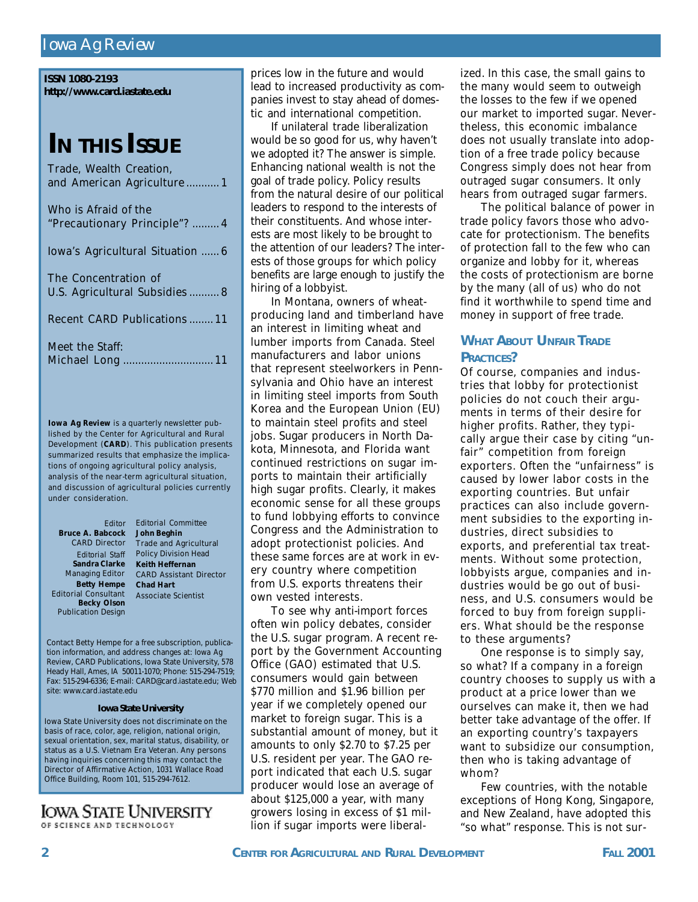### *Iowa Ag Review*

| <b>ISSN 1080-2193</b>       |
|-----------------------------|
| http://www.card.iastate.edu |

# **I<sup>N</sup> THIS ISSUE**

| Trade, Wealth Creation,<br>and American Agriculture 1 |
|-------------------------------------------------------|
| Who is Afraid of the<br>"Precautionary Principle"?  4 |
| Iowa's Agricultural Situation  6                      |
| The Concentration of<br>U.S. Agricultural Subsidies 8 |
| <b>Recent CARD Publications  11</b>                   |
| Meet the Staff:                                       |

*Iowa Ag Review* is a quarterly newsletter published by the Center for Agricultural and Rural Development (**CARD**). This publication presents summarized results that emphasize the implications of ongoing agricultural policy analysis, analysis of the near-term agricultural situation, and discussion of agricultural policies currently under consideration.

**Becky Olson** Publication Design *Editor* **Bruce A. Babcock** CARD Director *Editorial Staff* **Sandra Clarke** Managing Editor **Betty Hempe** Editorial Consultant

*Editorial Committee* **John Beghin** Trade and Agricultural Policy Division Head **Keith Heffernan** CARD Assistant Director **Chad Hart** Associate Scientist

Contact Betty Hempe for a free subscription, publication information, and address changes at: *Iowa Ag Review*, CARD Publications, Iowa State University, 578 Heady Hall, Ames, IA 50011-1070; Phone: 515-294-7519; Fax: 515-294-6336; E-mail: CARD@card.iastate.edu; Web site: www.card.iastate.edu

#### **Iowa State University**

Iowa State University does not discriminate on the basis of race, color, age, religion, national origin, sexual orientation, sex, marital status, disability, or status as a U.S. Vietnam Era Veteran. Any persons having inquiries concerning this may contact the Director of Affirmative Action, 1031 Wallace Road Office Building, Room 101, 515-294-7612.

### **IOWA STATE UNIVERSITY** OF SCIENCE AND TECHNOLOGY

prices low in the future and would lead to increased productivity as companies invest to stay ahead of domestic and international competition.

If unilateral trade liberalization would be so good for us, why haven't we adopted it? The answer is simple. Enhancing national wealth is not the goal of trade policy. Policy results from the natural desire of our political leaders to respond to the interests of their constituents. And whose interests are most likely to be brought to the attention of our leaders? The interests of those groups for which policy benefits are large enough to justify the hiring of a lobbyist.

In Montana, owners of wheatproducing land and timberland have an interest in limiting wheat and lumber imports from Canada. Steel manufacturers and labor unions that represent steelworkers in Pennsylvania and Ohio have an interest in limiting steel imports from South Korea and the European Union (EU) to maintain steel profits and steel jobs. Sugar producers in North Dakota, Minnesota, and Florida want continued restrictions on sugar imports to maintain their artificially high sugar profits. Clearly, it makes economic sense for all these groups to fund lobbying efforts to convince Congress and the Administration to adopt protectionist policies. And these same forces are at work in every country where competition from U.S. exports threatens their own vested interests.

To see why anti-import forces often win policy debates, consider the U.S. sugar program. A recent report by the Government Accounting Office (GAO) estimated that U.S. consumers would gain between \$770 million and \$1.96 billion per year if we completely opened our market to foreign sugar. This is a substantial amount of money, but it amounts to only \$2.70 to \$7.25 per U.S. resident per year. The GAO report indicated that each U.S. sugar producer would lose an average of about \$125,000 a year, with many growers losing in excess of \$1 million if sugar imports were liberalized. In this case, the small gains to the many would seem to outweigh the losses to the few if we opened our market to imported sugar. Nevertheless, this economic imbalance does not usually translate into adoption of a free trade policy because Congress simply does not hear from outraged sugar consumers. It only hears from outraged sugar farmers.

The political balance of power in trade policy favors those who advocate for protectionism. The benefits of protection fall to the few who can organize and lobby for it, whereas the costs of protectionism are borne by the many (all of us) who do not find it worthwhile to spend time and money in support of free trade.

### **WHAT ABOUT UNFAIR TRADE PRACTICES?**

Of course, companies and industries that lobby for protectionist policies do not couch their arguments in terms of their desire for higher profits. Rather, they typically argue their case by citing "unfair" competition from foreign exporters. Often the "unfairness" is caused by lower labor costs in the exporting countries. But unfair practices can also include government subsidies to the exporting industries, direct subsidies to exports, and preferential tax treatments. Without some protection, lobbyists argue, companies and industries would be go out of business, and U.S. consumers would be forced to buy from foreign suppliers. What should be the response to these arguments?

One response is to simply say, so what? If a company in a foreign country chooses to supply us with a product at a price lower than we ourselves can make it, then we had better take advantage of the offer. If an exporting country's taxpayers want to subsidize our consumption, then who is taking advantage of whom?

Few countries, with the notable exceptions of Hong Kong, Singapore, and New Zealand, have adopted this "so what" response. This is not sur